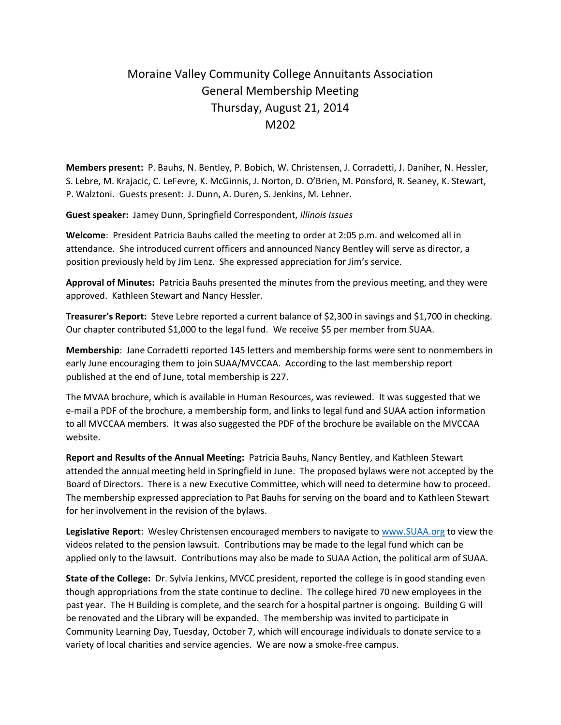## Moraine Valley Community College Annuitants Association General Membership Meeting Thursday, August 21, 2014 M<sub>202</sub>

**Members present:** P. Bauhs, N. Bentley, P. Bobich, W. Christensen, J. Corradetti, J. Daniher, N. Hessler, S. Lebre, M. Krajacic, C. LeFevre, K. McGinnis, J. Norton, D. O'Brien, M. Ponsford, R. Seaney, K. Stewart, P. Walztoni. Guests present: J. Dunn, A. Duren, S. Jenkins, M. Lehner.

**Guest speaker:** Jamey Dunn, Springfield Correspondent, *Illinois Issues*

**Welcome**: President Patricia Bauhs called the meeting to order at 2:05 p.m. and welcomed all in attendance. She introduced current officers and announced Nancy Bentley will serve as director, a position previously held by Jim Lenz. She expressed appreciation for Jim's service.

**Approval of Minutes:** Patricia Bauhs presented the minutes from the previous meeting, and they were approved. Kathleen Stewart and Nancy Hessler.

**Treasurer's Report:** Steve Lebre reported a current balance of \$2,300 in savings and \$1,700 in checking. Our chapter contributed \$1,000 to the legal fund. We receive \$5 per member from SUAA.

**Membership**: Jane Corradetti reported 145 letters and membership forms were sent to nonmembers in early June encouraging them to join SUAA/MVCCAA. According to the last membership report published at the end of June, total membership is 227.

The MVAA brochure, which is available in Human Resources, was reviewed. It was suggested that we e-mail a PDF of the brochure, a membership form, and links to legal fund and SUAA action information to all MVCCAA members. It was also suggested the PDF of the brochure be available on the MVCCAA website.

**Report and Results of the Annual Meeting:** Patricia Bauhs, Nancy Bentley, and Kathleen Stewart attended the annual meeting held in Springfield in June. The proposed bylaws were not accepted by the Board of Directors. There is a new Executive Committee, which will need to determine how to proceed. The membership expressed appreciation to Pat Bauhs for serving on the board and to Kathleen Stewart for her involvement in the revision of the bylaws.

**Legislative Report**: Wesley Christensen encouraged members to navigate to [www.SUAA.org](http://www.suaa.org/) to view the videos related to the pension lawsuit. Contributions may be made to the legal fund which can be applied only to the lawsuit. Contributions may also be made to SUAA Action, the political arm of SUAA.

**State of the College:** Dr. Sylvia Jenkins, MVCC president, reported the college is in good standing even though appropriations from the state continue to decline. The college hired 70 new employees in the past year. The H Building is complete, and the search for a hospital partner is ongoing. Building G will be renovated and the Library will be expanded. The membership was invited to participate in Community Learning Day, Tuesday, October 7, which will encourage individuals to donate service to a variety of local charities and service agencies. We are now a smoke-free campus.